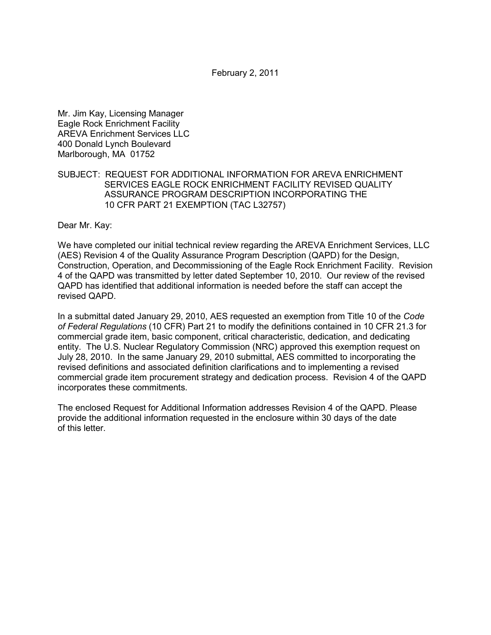February 2, 2011

Mr. Jim Kay, Licensing Manager Eagle Rock Enrichment Facility AREVA Enrichment Services LLC 400 Donald Lynch Boulevard Marlborough, MA 01752

## SUBJECT: REQUEST FOR ADDITIONAL INFORMATION FOR AREVA ENRICHMENT SERVICES EAGLE ROCK ENRICHMENT FACILITY REVISED QUALITY ASSURANCE PROGRAM DESCRIPTION INCORPORATING THE 10 CFR PART 21 EXEMPTION (TAC L32757)

Dear Mr. Kay:

We have completed our initial technical review regarding the AREVA Enrichment Services, LLC (AES) Revision 4 of the Quality Assurance Program Description (QAPD) for the Design, Construction, Operation, and Decommissioning of the Eagle Rock Enrichment Facility. Revision 4 of the QAPD was transmitted by letter dated September 10, 2010. Our review of the revised QAPD has identified that additional information is needed before the staff can accept the revised QAPD.

In a submittal dated January 29, 2010, AES requested an exemption from Title 10 of the *Code of Federal Regulations* (10 CFR) Part 21 to modify the definitions contained in 10 CFR 21.3 for commercial grade item, basic component, critical characteristic, dedication, and dedicating entity. The U.S. Nuclear Regulatory Commission (NRC) approved this exemption request on July 28, 2010. In the same January 29, 2010 submittal, AES committed to incorporating the revised definitions and associated definition clarifications and to implementing a revised commercial grade item procurement strategy and dedication process. Revision 4 of the QAPD incorporates these commitments.

The enclosed Request for Additional Information addresses Revision 4 of the QAPD. Please provide the additional information requested in the enclosure within 30 days of the date of this letter.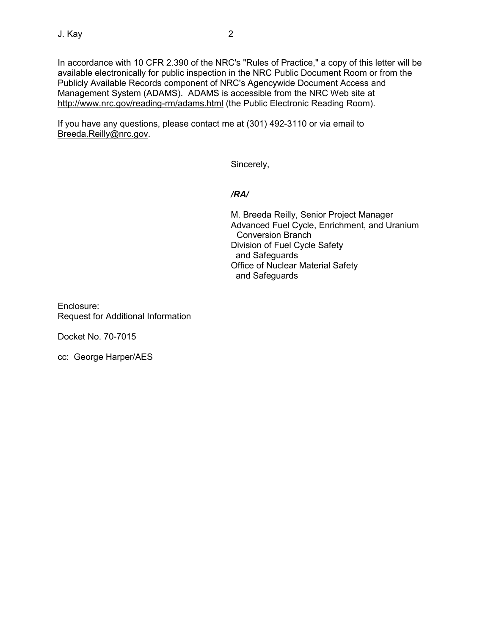In accordance with 10 CFR 2.390 of the NRC's "Rules of Practice," a copy of this letter will be available electronically for public inspection in the NRC Public Document Room or from the Publicly Available Records component of NRC's Agencywide Document Access and Management System (ADAMS). ADAMS is accessible from the NRC Web site at http://www.nrc.gov/reading-rm/adams.html (the Public Electronic Reading Room).

If you have any questions, please contact me at (301) 492-3110 or via email to Breeda.Reilly@nrc.gov.

Sincerely,

*/RA/* 

M. Breeda Reilly, Senior Project Manager Advanced Fuel Cycle, Enrichment, and Uranium Conversion Branch Division of Fuel Cycle Safety and Safeguards Office of Nuclear Material Safety and Safeguards

Enclosure: Request for Additional Information

Docket No. 70-7015

cc: George Harper/AES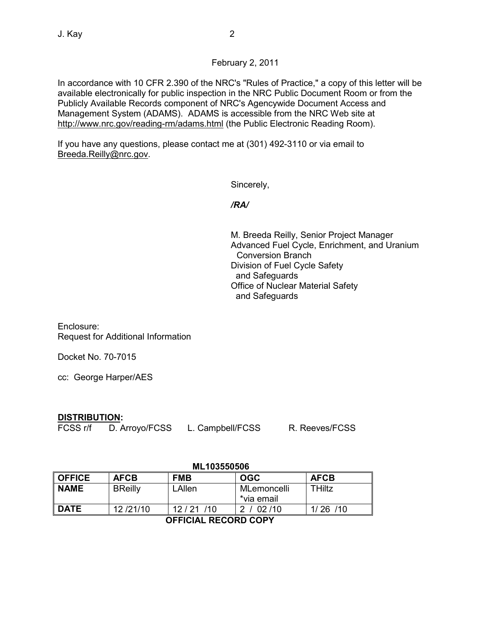# February 2, 2011

In accordance with 10 CFR 2.390 of the NRC's "Rules of Practice," a copy of this letter will be available electronically for public inspection in the NRC Public Document Room or from the Publicly Available Records component of NRC's Agencywide Document Access and Management System (ADAMS). ADAMS is accessible from the NRC Web site at http://www.nrc.gov/reading-rm/adams.html (the Public Electronic Reading Room).

If you have any questions, please contact me at (301) 492-3110 or via email to Breeda.Reilly@nrc.gov.

Sincerely,

*/RA/* 

M. Breeda Reilly, Senior Project Manager Advanced Fuel Cycle, Enrichment, and Uranium Conversion Branch Division of Fuel Cycle Safety and Safeguards Office of Nuclear Material Safety and Safeguards

Enclosure: Request for Additional Information

Docket No. 70-7015

cc: George Harper/AES

# **DISTRIBUTION:**

FCSS r/f D. Arroyo/FCSS L. Campbell/FCSS R. Reeves/FCSS

### **ML103550506**

| <b>OFFICE</b>               | <b>AFCB</b>    | <b>FMB</b> | <b>OGC</b>                | <b>AFCB</b> |
|-----------------------------|----------------|------------|---------------------------|-------------|
| <b>NAME</b>                 | <b>BReilly</b> | LAllen     | MLemoncelli<br>*via email | THiltz      |
| <b>DATE</b>                 | 12/21/10       | 12/21/10   | 2 / 02 / 10               | 1/26/10     |
| <b>OFFICIAL RECORD COPY</b> |                |            |                           |             |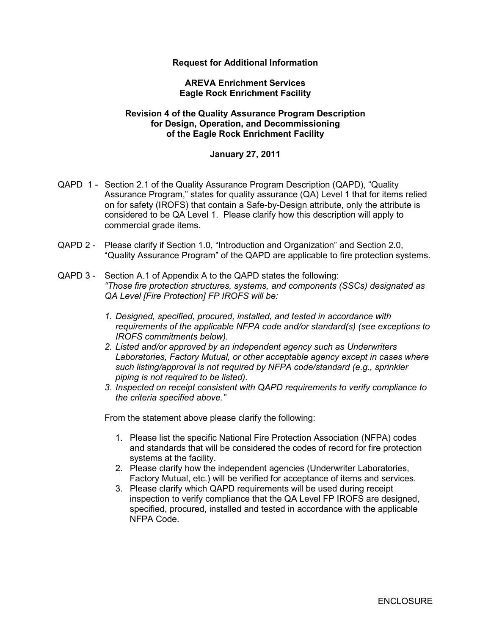## **Request for Additional Information**

### **AREVA Enrichment Services Eagle Rock Enrichment Facility**

### **Revision 4 of the Quality Assurance Program Description for Design, Operation, and Decommissioning of the Eagle Rock Enrichment Facility**

### **January 27, 2011**

- QAPD 1 Section 2.1 of the Quality Assurance Program Description (QAPD), "Quality Assurance Program," states for quality assurance (QA) Level 1 that for items relied on for safety (IROFS) that contain a Safe-by-Design attribute, only the attribute is considered to be QA Level 1. Please clarify how this description will apply to commercial grade items.
- QAPD 2 Please clarify if Section 1.0, "Introduction and Organization" and Section 2.0, "Quality Assurance Program" of the QAPD are applicable to fire protection systems.
- QAPD 3 Section A.1 of Appendix A to the QAPD states the following: *"Those fire protection structures, systems, and components (SSCs) designated as QA Level [Fire Protection] FP IROFS will be:* 
	- *1. Designed, specified, procured, installed, and tested in accordance with requirements of the applicable NFPA code and/or standard(s) (see exceptions to IROFS commitments below).*
	- *2. Listed and/or approved by an independent agency such as Underwriters Laboratories, Factory Mutual, or other acceptable agency except in cases where such listing/approval is not required by NFPA code/standard (e.g., sprinkler piping is not required to be listed).*
	- *3. Inspected on receipt consistent with QAPD requirements to verify compliance to the criteria specified above."*

From the statement above please clarify the following:

- 1. Please list the specific National Fire Protection Association (NFPA) codes and standards that will be considered the codes of record for fire protection systems at the facility.
- 2. Please clarify how the independent agencies (Underwriter Laboratories, Factory Mutual, etc.) will be verified for acceptance of items and services.
- 3. Please clarify which QAPD requirements will be used during receipt inspection to verify compliance that the QA Level FP IROFS are designed, specified, procured, installed and tested in accordance with the applicable NFPA Code.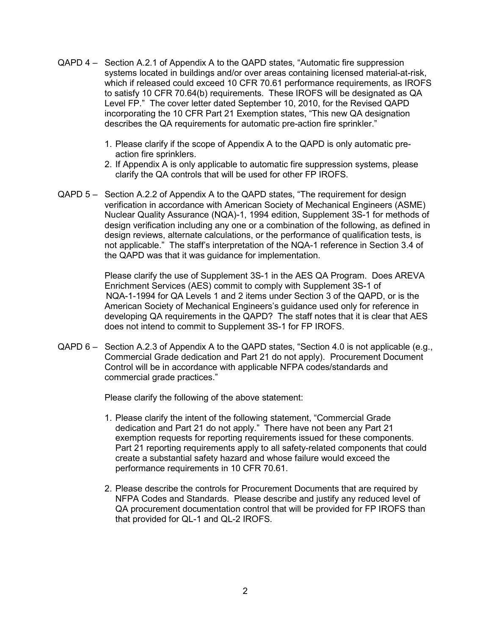- QAPD 4 Section A.2.1 of Appendix A to the QAPD states, "Automatic fire suppression systems located in buildings and/or over areas containing licensed material-at-risk, which if released could exceed 10 CFR 70.61 performance requirements, as IROFS to satisfy 10 CFR 70.64(b) requirements. These IROFS will be designated as QA Level FP." The cover letter dated September 10, 2010, for the Revised QAPD incorporating the 10 CFR Part 21 Exemption states, "This new QA designation describes the QA requirements for automatic pre-action fire sprinkler."
	- 1. Please clarify if the scope of Appendix A to the QAPD is only automatic preaction fire sprinklers.
	- 2. If Appendix A is only applicable to automatic fire suppression systems, please clarify the QA controls that will be used for other FP IROFS.
- QAPD 5 Section A.2.2 of Appendix A to the QAPD states, "The requirement for design verification in accordance with American Society of Mechanical Engineers (ASME) Nuclear Quality Assurance (NQA)-1, 1994 edition, Supplement 3S-1 for methods of design verification including any one or a combination of the following, as defined in design reviews, alternate calculations, or the performance of qualification tests, is not applicable." The staff's interpretation of the NQA-1 reference in Section 3.4 of the QAPD was that it was guidance for implementation.

 Please clarify the use of Supplement 3S-1 in the AES QA Program. Does AREVA Enrichment Services (AES) commit to comply with Supplement 3S-1 of NQA-1-1994 for QA Levels 1 and 2 items under Section 3 of the QAPD, or is the American Society of Mechanical Engineers's guidance used only for reference in developing QA requirements in the QAPD? The staff notes that it is clear that AES does not intend to commit to Supplement 3S-1 for FP IROFS.

QAPD 6 – Section A.2.3 of Appendix A to the QAPD states, "Section 4.0 is not applicable (e.g., Commercial Grade dedication and Part 21 do not apply). Procurement Document Control will be in accordance with applicable NFPA codes/standards and commercial grade practices."

Please clarify the following of the above statement:

- 1. Please clarify the intent of the following statement, "Commercial Grade dedication and Part 21 do not apply." There have not been any Part 21 exemption requests for reporting requirements issued for these components. Part 21 reporting requirements apply to all safety-related components that could create a substantial safety hazard and whose failure would exceed the performance requirements in 10 CFR 70.61.
- 2. Please describe the controls for Procurement Documents that are required by NFPA Codes and Standards. Please describe and justify any reduced level of QA procurement documentation control that will be provided for FP IROFS than that provided for QL-1 and QL-2 IROFS.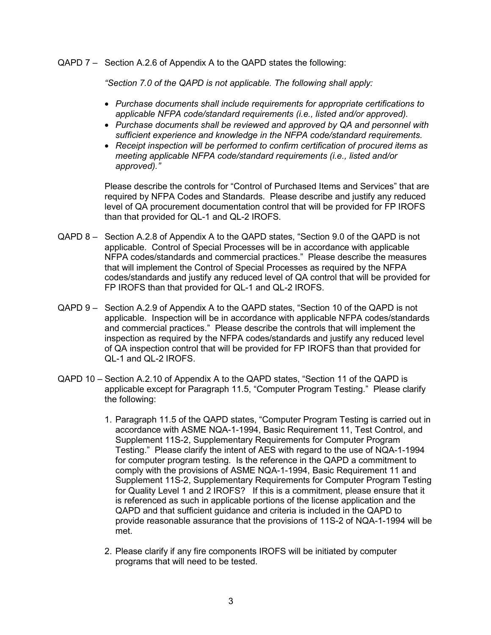QAPD 7 – Section A.2.6 of Appendix A to the QAPD states the following:

*"Section 7.0 of the QAPD is not applicable. The following shall apply:* 

- *Purchase documents shall include requirements for appropriate certifications to applicable NFPA code/standard requirements (i.e., listed and/or approved).*
- *Purchase documents shall be reviewed and approved by QA and personnel with sufficient experience and knowledge in the NFPA code/standard requirements.*
- *Receipt inspection will be performed to confirm certification of procured items as meeting applicable NFPA code/standard requirements (i.e., listed and/or approved)."*

Please describe the controls for "Control of Purchased Items and Services" that are required by NFPA Codes and Standards. Please describe and justify any reduced level of QA procurement documentation control that will be provided for FP IROFS than that provided for QL-1 and QL-2 IROFS.

- QAPD 8 Section A.2.8 of Appendix A to the QAPD states, "Section 9.0 of the QAPD is not applicable. Control of Special Processes will be in accordance with applicable NFPA codes/standards and commercial practices." Please describe the measures that will implement the Control of Special Processes as required by the NFPA codes/standards and justify any reduced level of QA control that will be provided for FP IROFS than that provided for QL-1 and QL-2 IROFS.
- QAPD 9 Section A.2.9 of Appendix A to the QAPD states, "Section 10 of the QAPD is not applicable. Inspection will be in accordance with applicable NFPA codes/standards and commercial practices." Please describe the controls that will implement the inspection as required by the NFPA codes/standards and justify any reduced level of QA inspection control that will be provided for FP IROFS than that provided for QL-1 and QL-2 IROFS.
- QAPD 10 Section A.2.10 of Appendix A to the QAPD states, "Section 11 of the QAPD is applicable except for Paragraph 11.5, "Computer Program Testing." Please clarify the following:
	- 1. Paragraph 11.5 of the QAPD states, "Computer Program Testing is carried out in accordance with ASME NQA-1-1994, Basic Requirement 11, Test Control, and Supplement 11S-2, Supplementary Requirements for Computer Program Testing." Please clarify the intent of AES with regard to the use of NQA-1-1994 for computer program testing. Is the reference in the QAPD a commitment to comply with the provisions of ASME NQA-1-1994, Basic Requirement 11 and Supplement 11S-2, Supplementary Requirements for Computer Program Testing for Quality Level 1 and 2 IROFS? If this is a commitment, please ensure that it is referenced as such in applicable portions of the license application and the QAPD and that sufficient guidance and criteria is included in the QAPD to provide reasonable assurance that the provisions of 11S-2 of NQA-1-1994 will be met.
	- 2. Please clarify if any fire components IROFS will be initiated by computer programs that will need to be tested.